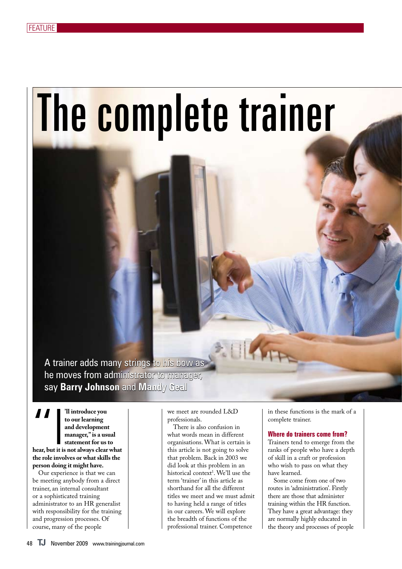# The complete trainer

A trainer adds many strings to his bow as he moves from administrator to manager, say **Barry Johnson** and **Mandy Geal**

"I**'ll introduce you hear, but it is not always clear what to our learning and development manager," is a usual statement for us to the role involves or what skills the person doing it might have.** 

Our experience is that we can be meeting anybody from a direct trainer, an internal consultant or a sophisticated training administrator to an HR generalist with responsibility for the training and progression processes. Of course, many of the people

we meet are rounded L&D professionals.

There is also confusion in what words mean in different organisations. What is certain is this article is not going to solve that problem. Back in 2003 we did look at this problem in an historical context<sup>1</sup>. We'll use the term 'trainer' in this article as shorthand for all the different titles we meet and we must admit to having held a range of titles in our careers. We will explore the breadth of functions of the professional trainer. Competence

in these functions is the mark of a complete trainer.

#### **Where do trainers come from?**

Trainers tend to emerge from the ranks of people who have a depth of skill in a craft or profession who wish to pass on what they have learned.

Some come from one of two routes in 'administration'. Firstly there are those that administer training within the HR function. They have a great advantage: they are normally highly educated in the theory and processes of people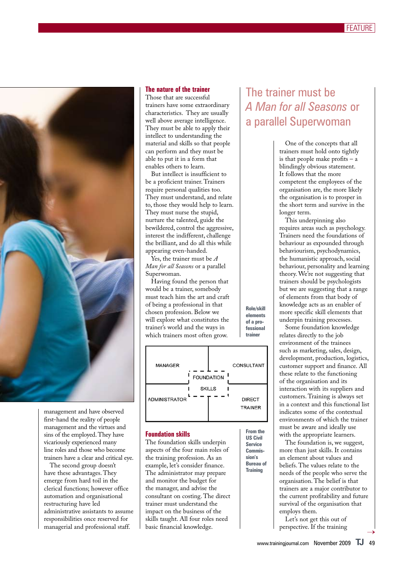

management and have observed first-hand the reality of people management and the virtues and sins of the employed. They have vicariously experienced many line roles and those who become trainers have a clear and critical eye.

The second group doesn't have these advantages. They emerge from hard toil in the clerical functions; however office automation and organisational restructuring have led administrative assistants to assume responsibilities once reserved for managerial and professional staff.

#### **The nature of the trainer**

Those that are successful trainers have some extraordinary characteristics. They are usually well above average intelligence. They must be able to apply their intellect to understanding the material and skills so that people can perform and they must be able to put it in a form that enables others to learn.

But intellect is insufficient to be a proficient trainer. Trainers require personal qualities too. They must understand, and relate to, those they would help to learn. They must nurse the stupid, nurture the talented, guide the bewildered, control the aggressive, interest the indifferent, challenge the brilliant, and do all this while appearing even-handed.

Yes, the trainer must be *A Man for all Seasons* or a parallel Superwoman.

Having found the person that would be a trainer, somebody must teach him the art and craft of being a professional in that chosen profession. Below we will explore what constitutes the trainer's world and the ways in which trainers most often grow.



**From the US Civil Service Commission's Bureau of Training**

**Role/skill elements of a professional trainer**

#### **Foundation skills**

The foundation skills underpin aspects of the four main roles of the training profession. As an example, let's consider finance. The administrator may prepare and monitor the budget for the manager, and advise the consultant on costing. The direct trainer must understand the impact on the business of the skills taught. All four roles need basic financial knowledge.

### The trainer must be *A Man for all Seasons* or a parallel Superwoman

One of the concepts that all trainers must hold onto tightly is that people make profits – a blindingly obvious statement. It follows that the more competent the employees of the organisation are, the more likely the organisation is to prosper in the short term and survive in the longer term.

This underpinning also requires areas such as psychology. Trainers need the foundations of behaviour as expounded through behaviourism, psychodynamics, the humanistic approach, social behaviour, personality and learning theory. We're not suggesting that trainers should be psychologists but we are suggesting that a range of elements from that body of knowledge acts as an enabler of more specific skill elements that underpin training processes.

Some foundation knowledge relates directly to the job environment of the trainees such as marketing, sales, design, development, production, logistics, customer support and finance. All these relate to the functioning of the organisation and its interaction with its suppliers and customers. Training is always set in a context and this functional list indicates some of the contextual environments of which the trainer must be aware and ideally use with the appropriate learners.

The foundation is, we suggest, more than just skills. It contains an element about values and beliefs. The values relate to the needs of the people who serve the organisation. The belief is that trainers are a major contributor to the current profitability and future survival of the organisation that employs them.

Let's not get this out of perspective. If the training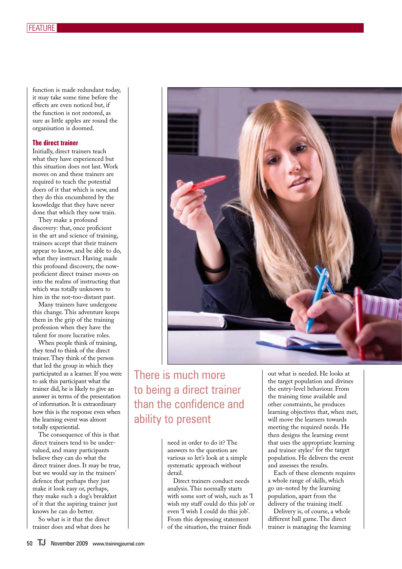function is made redundant today, it may take some time before the effects are even noticed but, if the function is not restored, as sure as little apples are round the organisation is doomed.

#### **The direct trainer**

Initially, direct trainers teach what they have experienced but this situation does not last. Work moves on and these trainers are required to teach the potential doers of it that which is new, and they do this encumbered by the knowledge that they have never done that which they now train.

They make a profound discovery: that, once proficient in the art and science of training, trainees accept that their trainers appear to know, and be able to do, what they instruct. Having made this profound discovery, the nowproficient direct trainer moves on into the realms of instructing that which was totally unknown to him in the not-too-distant past.

Many trainers have undergone this change. This adventure keeps them in the grip of the training profession when they have the talent for more lucrative roles.

When people think of training, they tend to think of the direct trainer. They think of the person that led the group in which they participated as a learner. If you were to ask this participant what the trainer did, he is likely to give an answer in terms of the presentation of information. It is extraordinary how this is the response even when the learning event was almost totally experiential.

The consequence of this is that direct trainers tend to be undervalued, and many participants believe they can do what the direct trainer does. It may be true, but we would say in the trainers' defence that perhaps they just make it look easy or, perhaps, they make such a dog's breakfast of it that the aspiring trainer just knows he can do better.

So what is it that the direct trainer does and what does he



## There is much more to being a direct trainer than the confidence and ability to present

need in order to do it? The answers to the question are various so let's look at a simple systematic approach without detail.

Direct trainers conduct needs analysis. This normally starts with some sort of wish, such as 'I wish my staff could do this job' or even 'I wish I could do this job'. From this depressing statement of the situation, the trainer finds

out what is needed. He looks at the target population and divines the entry-level behaviour. From the training time available and other constraints, he produces learning objectives that, when met, will move the learners towards meeting the required needs. He then designs the learning event that uses the appropriate learning and trainer styles<sup>2</sup> for the target population. He delivers the event and assesses the results.

Each of these elements requires a whole range of skills, which go un-noted by the learning population, apart from the delivery of the training itself.

Delivery is, of course, a whole different ball game. The direct trainer is managing the learning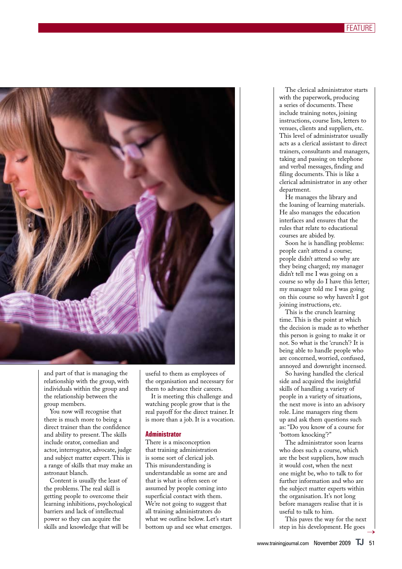

and part of that is managing the relationship with the group, with individuals within the group and the relationship between the group members.

You now will recognise that there is much more to being a direct trainer than the confidence and ability to present. The skills include orator, comedian and actor, interrogator, advocate, judge and subject matter expert. This is a range of skills that may make an astronaut blanch.

Content is usually the least of the problems. The real skill is getting people to overcome their learning inhibitions, psychological barriers and lack of intellectual power so they can acquire the skills and knowledge that will be

useful to them as employees of the organisation and necessary for them to advance their careers.

It is meeting this challenge and watching people grow that is the real payoff for the direct trainer. It is more than a job. It is a vocation.

#### **Administrator**

There is a misconception that training administration is some sort of clerical job. This misunderstanding is understandable as some are and that is what is often seen or assumed by people coming into superficial contact with them. We're not going to suggest that all training administrators do what we outline below. Let's start bottom up and see what emerges.

The clerical administrator starts with the paperwork, producing a series of documents. These include training notes, joining instructions, course lists, letters to venues, clients and suppliers, etc. This level of administrator usually acts as a clerical assistant to direct trainers, consultants and managers, taking and passing on telephone and verbal messages, finding and filing documents. This is like a clerical administrator in any other department.

He manages the library and the loaning of learning materials. He also manages the education interfaces and ensures that the rules that relate to educational courses are abided by.

Soon he is handling problems: people can't attend a course; people didn't attend so why are they being charged; my manager didn't tell me I was going on a course so why do I have this letter; my manager told me I was going on this course so why haven't I got joining instructions, etc.

This is the crunch learning time. This is the point at which the decision is made as to whether this person is going to make it or not. So what is the 'crunch'? It is being able to handle people who are concerned, worried, confused, annoyed and downright incensed.

So having handled the clerical side and acquired the insightful skills of handling a variety of people in a variety of situations, the next move is into an advisory role. Line managers ring them up and ask them questions such as: "Do you know of a course for 'bottom knocking'?"

The administrator soon learns who does such a course, which are the best suppliers, how much it would cost, when the next one might be, who to talk to for further information and who are the subject matter experts within the organisation. It's not long before managers realise that it is useful to talk to him.

This paves the way for the next step in his development. He goes